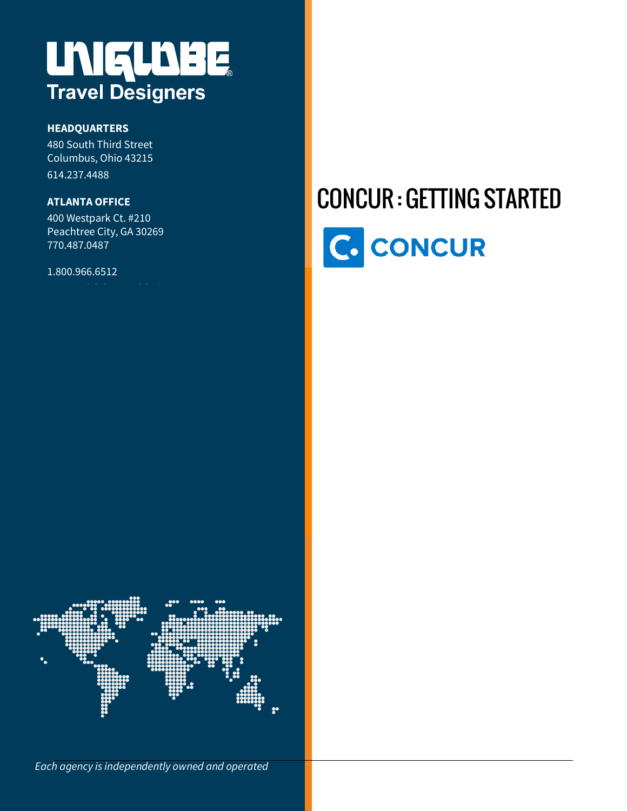# **UNIELDBE**

#### **HEADQUARTERS**

480 South Third Street Columbus, Ohio 43215 614.237.4488

#### **ATLANTA OFFICE**

400 Westpark Ct. #210 Peachtree City, GA 30269 770.487.0487

#### 1.800.966.6512

## **CONCUR: GETTING STARTED** C. CONCUR



*Each agency is independently owned and operated*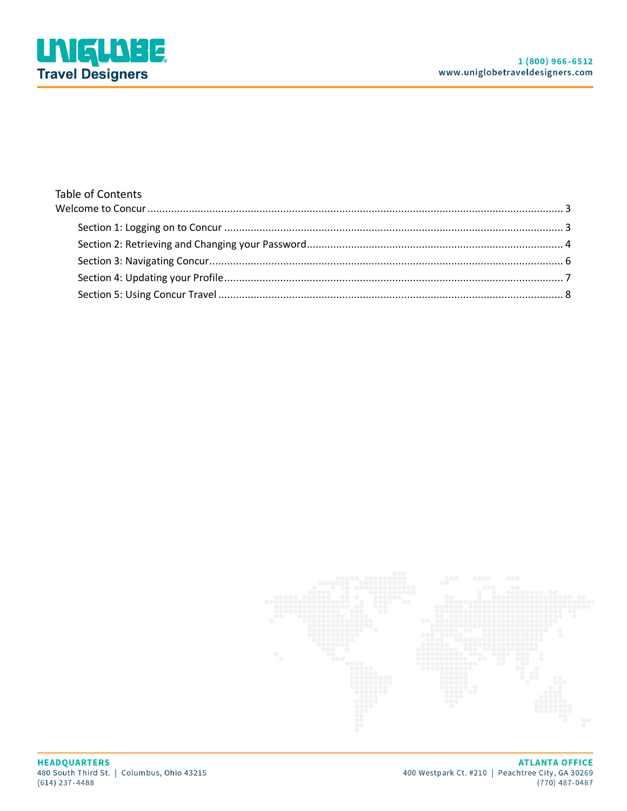

#### **Table of Contents**

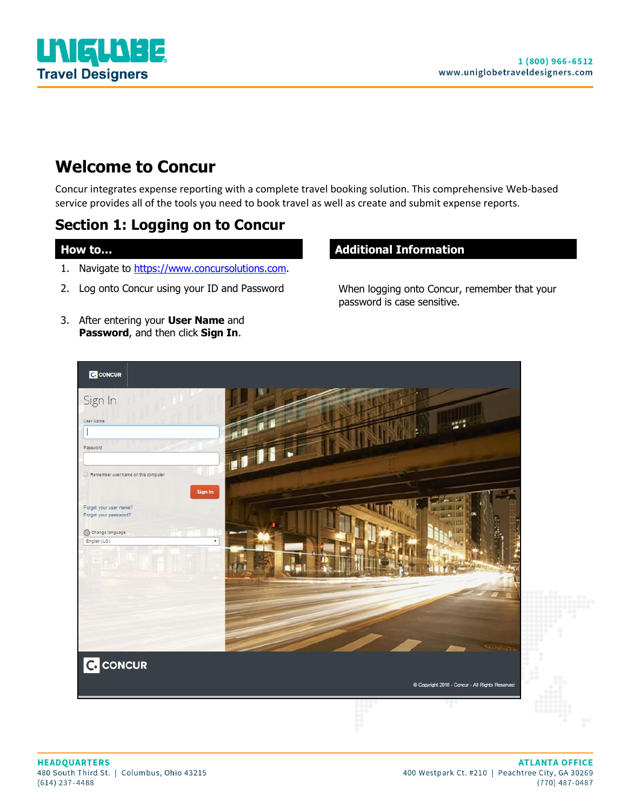

## <span id="page-2-0"></span>**Welcome to Concur**

Concur integrates expense reporting with a complete travel booking solution. This comprehensive Web-based service provides all of the tools you need to book travel as well as create and submit expense reports.

## <span id="page-2-1"></span>**Section 1: Logging on to Concur**

- 1. Navigate to [https://www.concursolutions.com.](https://www.concursolutions.com/)
- 2. Log onto Concur using your ID and Password When logging onto Concur, remember that your
- 3. After entering your **User Name** and **Password**, and then click **Sign In**.

#### **How to… Additional Information**

password is case sensitive.

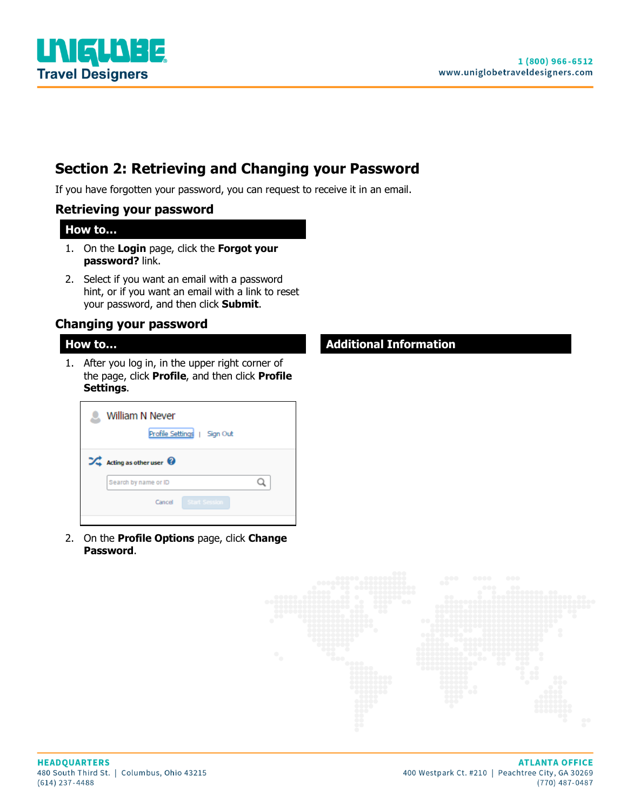

## <span id="page-3-0"></span>**Section 2: Retrieving and Changing your Password**

If you have forgotten your password, you can request to receive it in an email.

#### **Retrieving your password**

#### **How to…**

- 1. On the **Login** page, click the **Forgot your password?** link.
- 2. Select if you want an email with a password hint, or if you want an email with a link to reset your password, and then click **Submit**.

#### **Changing your password**

1. After you log in, in the upper right corner of the page, click **Profile**, and then click **Profile Settings**.

|   | William N Never<br>Profile Settings  <br>Sign Out |
|---|---------------------------------------------------|
| ∞ | Acting as other user $\bullet$                    |
|   | Search by name or ID                              |
|   | <b>Start Session</b><br>Cancel                    |
|   |                                                   |

2. On the **Profile Options** page, click **Change Password**.

#### **How to… Additional Information**

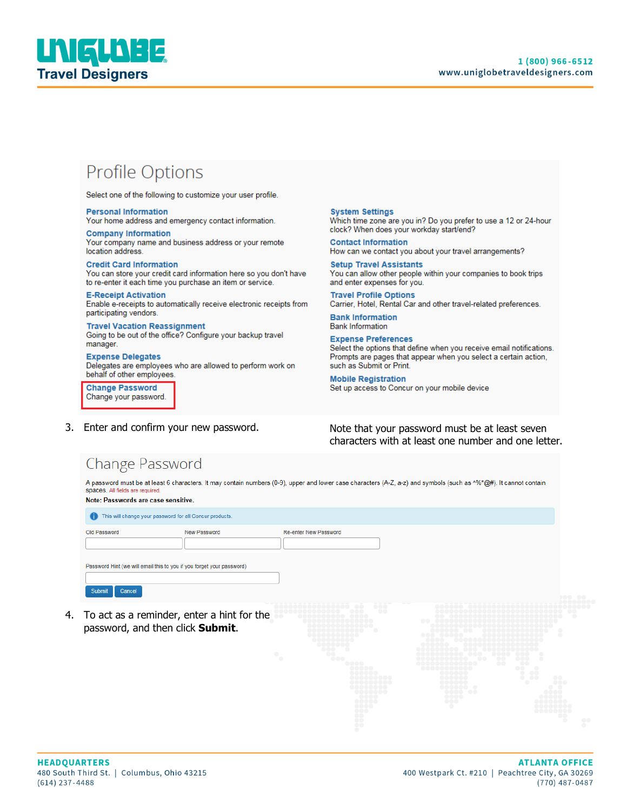

## Profile Options

**Personal Information** 

Select one of the following to customize your user profile.

Your home address and emergency contact information. **Company Information** Your company name and business address or your remote location address.

**Credit Card Information** You can store your credit card information here so you don't have to re-enter it each time you purchase an item or service.

**E-Receipt Activation** Enable e-receipts to automatically receive electronic receipts from

participating vendors. **Travel Vacation Reassignment** 

Going to be out of the office? Configure your backup travel manager.

**Expense Delegates** Delegates are employees who are allowed to perform work on behalf of other employees.

**Change Password** Change your password.

#### **System Settings**

Which time zone are you in? Do you prefer to use a 12 or 24-hour clock? When does your workday start/end?

**Contact Information** How can we contact you about your travel arrangements?

**Setup Travel Assistants** You can allow other people within your companies to book trips and enter expenses for you.

**Travel Profile Options** Carrier, Hotel, Rental Car and other travel-related preferences.

**Bank Information Bank Information** 

**Expense Preferences** Select the options that define when you receive email notifications. Prompts are pages that appear when you select a certain action, such as Submit or Print.

**Mobile Registration** Set up access to Concur on your mobile device

3. Enter and confirm your new password. Note that your password must be at least seven characters with at least one number and one letter.

## Change Password

A password must be at least 6 characters. It may contain numbers (0-9), upper and lower case characters (A-Z, a-z) and symbols (such as ^%\*@#). It cannot contain spaces. All fields are required

#### Note: Passwords are case sensitive.

| This will change your password for all Concur products.<br>$\bullet$  |              |                                     |          |
|-----------------------------------------------------------------------|--------------|-------------------------------------|----------|
| Old Password                                                          | New Password | <b>Re-enter New Password</b>        |          |
| Password Hint (we will email this to you if you forget your password) |              |                                     |          |
| Cancel<br>Submit                                                      |              | -------<br>------------------------ | -------- |

4. To act as a reminder, enter a hint for the password, and then click **Submit**.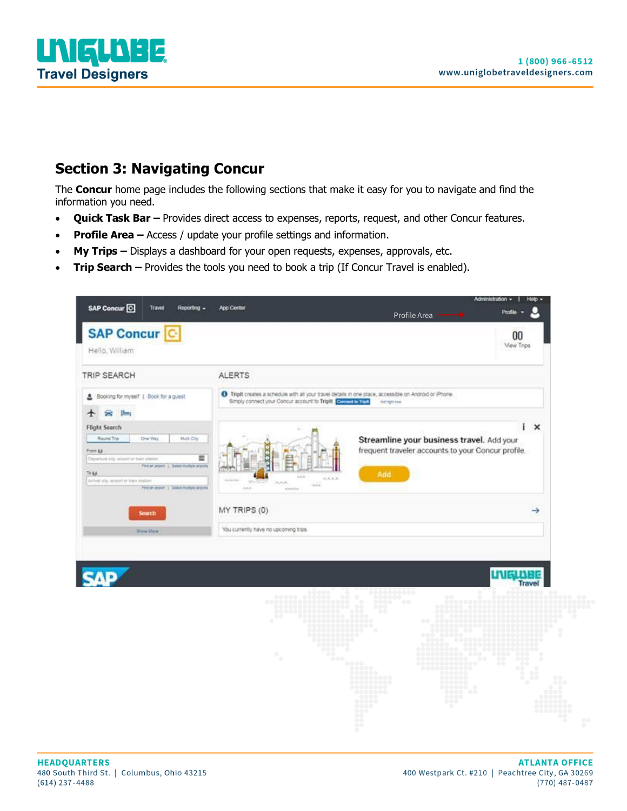

## <span id="page-5-0"></span>**Section 3: Navigating Concur**

The **Concur** home page includes the following sections that make it easy for you to navigate and find the information you need.

- **Quick Task Bar –** Provides direct access to expenses, reports, request, and other Concur features.
- **Profile Area –** Access / update your profile settings and information.
- **My Trips –** Displays a dashboard for your open requests, expenses, approvals, etc.
- **Trip Search –** Provides the tools you need to book a trip (If Concur Travel is enabled).

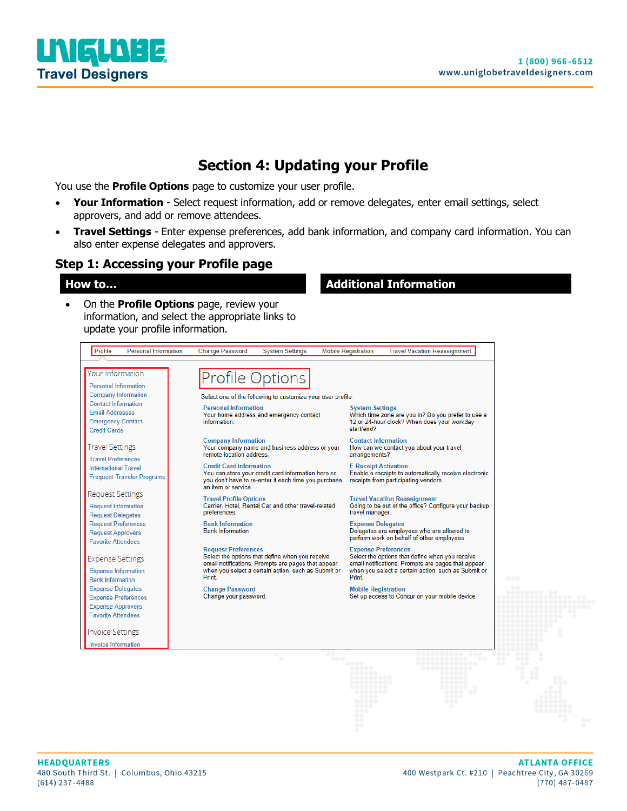

## **Section 4: Updating your Profile**

<span id="page-6-0"></span>You use the **Profile Options** page to customize your user profile.

- **Your Information** Select request information, add or remove delegates, enter email settings, select approvers, and add or remove attendees.
- **Travel Settings** Enter expense preferences, add bank information, and company card information. You can also enter expense delegates and approvers.

#### **Step 1: Accessing your Profile page**

• On the **Profile Options** page, review your information, and select the appropriate links to update your profile information.

#### **How to… Additional Information**

| Your Information                                                                                                | <b>Profile Options</b>                                                                                                                                                                              |                                                                                                                                                                                                     |
|-----------------------------------------------------------------------------------------------------------------|-----------------------------------------------------------------------------------------------------------------------------------------------------------------------------------------------------|-----------------------------------------------------------------------------------------------------------------------------------------------------------------------------------------------------|
| <b>Personal Information</b><br><b>Company Information</b>                                                       | Select one of the following to customize your user profile.                                                                                                                                         |                                                                                                                                                                                                     |
| <b>Contact Information</b><br><b>Email Addresses</b><br><b>Emergency Contact</b><br><b>Credit Cards</b>         | <b>Personal Information</b><br>Your home address and emergency contact<br>information.                                                                                                              | <b>System Settings</b><br>Which time zone are you in? Do you prefer to use a<br>12 or 24-hour clock? When does your workday<br>start/end?                                                           |
| <b>Travel Settings</b>                                                                                          | <b>Company Information</b><br>Your company name and business address or your<br>remote location address.                                                                                            | <b>Contact Information</b><br>How can we contact you about your travel<br>arrangements?                                                                                                             |
| <b>Travel Preferences</b><br><b>International Travel</b><br><b>Frequent-Traveler Programs</b>                   | <b>Credit Card Information</b><br>You can store your credit card information here so<br>you don't have to re-enter it each time you purchase<br>an item or service.                                 | <b>E-Receipt Activation</b><br>Enable e-receipts to automatically receive electronic<br>receipts from participating vendors.                                                                        |
| Request Settings<br><b>Request Information</b><br><b>Request Delegates</b>                                      | <b>Travel Profile Options</b><br>Carrier, Hotel, Rental Car and other travel-related<br>preferences.                                                                                                | <b>Travel Vacation Reassignment</b><br>Going to be out of the office? Configure your backup<br>travel manager.                                                                                      |
| <b>Request Preferences</b><br><b>Request Approvers</b><br><b>Favorite Attendees</b>                             | <b>Bank Information</b><br><b>Bank Information</b>                                                                                                                                                  | <b>Expense Delegates</b><br>Delegates are employees who are allowed to<br>perform work on behalf of other employees.                                                                                |
| <b>Expense Settings</b><br><b>Expense Information</b><br><b>Bank Information</b>                                | <b>Request Preferences</b><br>Select the options that define when you receive<br>email notifications. Prompts are pages that appear<br>when you select a certain action, such as Submit or<br>Print | <b>Expense Preferences</b><br>Select the options that define when you receive<br>email notifications. Prompts are pages that appear<br>when you select a certain action, such as Submit or<br>Print |
| <b>Expense Delegates</b><br><b>Expense Preferences</b><br><b>Expense Approvers</b><br><b>Favorite Attendees</b> | <b>Change Password</b><br>Change your password.                                                                                                                                                     | <b>Mobile Registration</b><br>Set up access to Concur on your mobile device                                                                                                                         |
| <b>Invoice Settings</b>                                                                                         |                                                                                                                                                                                                     |                                                                                                                                                                                                     |
| <b>Invoice Information</b>                                                                                      |                                                                                                                                                                                                     |                                                                                                                                                                                                     |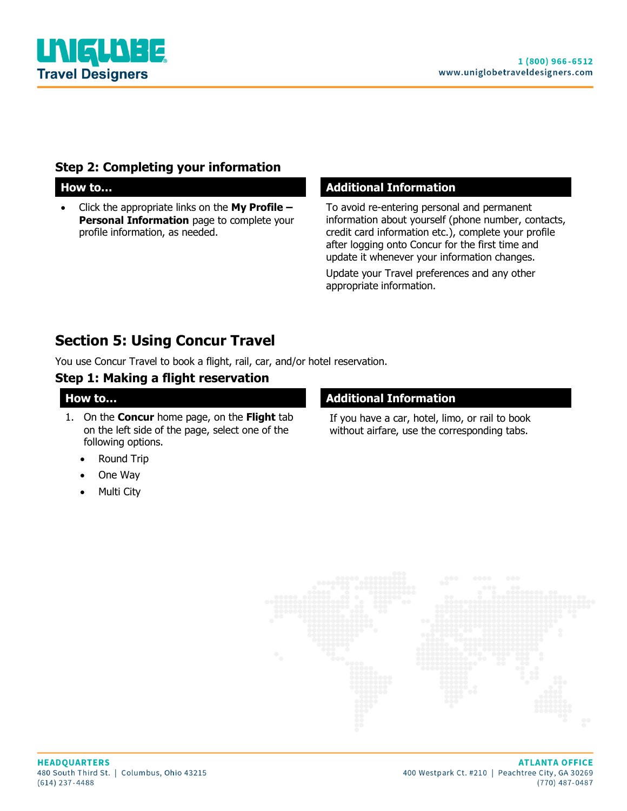

#### **Step 2: Completing your information**

• Click the appropriate links on the **My Profile – Personal Information** page to complete your profile information, as needed.

#### **How to… Additional Information**

To avoid re-entering personal and permanent information about yourself (phone number, contacts, credit card information etc.), complete your profile after logging onto Concur for the first time and update it whenever your information changes.

Update your Travel preferences and any other appropriate information.

## <span id="page-7-0"></span>**Section 5: Using Concur Travel**

You use Concur Travel to book a flight, rail, car, and/or hotel reservation.

#### **Step 1: Making a flight reservation**

1. On the **Concur** home page, on the **Flight** tab on the left side of the page, select one of the following options.

#### **Round Trip**

- One Way
- Multi City

#### **How to... Additional Information**

If you have a car, hotel, limo, or rail to book without airfare, use the corresponding tabs.

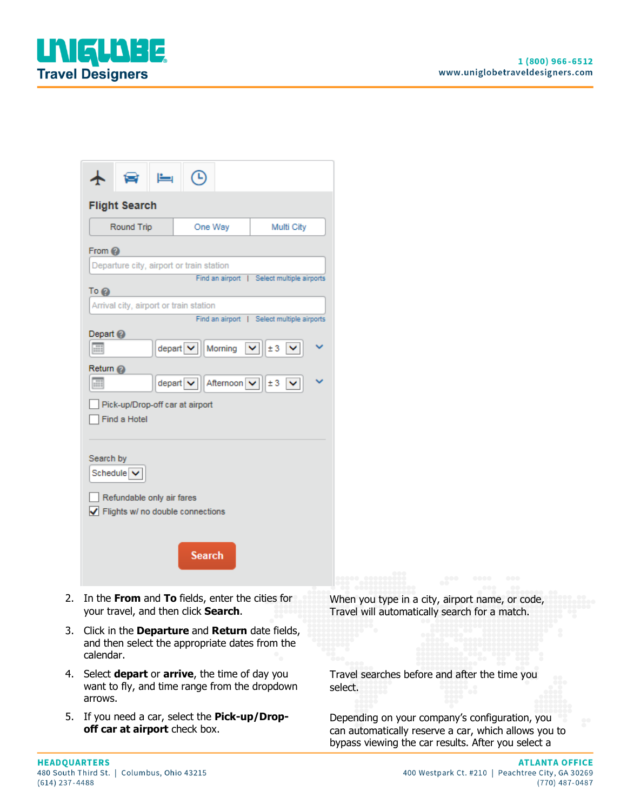

| <b>Flight Search</b>                                  |                                                                                                            |                                                             |
|-------------------------------------------------------|------------------------------------------------------------------------------------------------------------|-------------------------------------------------------------|
| Round Trip                                            | One Way                                                                                                    | Multi City                                                  |
| From $Q$                                              |                                                                                                            |                                                             |
|                                                       | Departure city, airport or train station                                                                   |                                                             |
|                                                       |                                                                                                            | Find an airport   Select multiple airports                  |
| To @<br>Arrival city, airport or train station        |                                                                                                            |                                                             |
|                                                       |                                                                                                            | Find an airport   Select multiple airports                  |
| Depart <sup>2</sup>                                   |                                                                                                            |                                                             |
| m                                                     | depart v   Morning                                                                                         | $\vert \mathbf{v} \vert \vert$ ± 3 $\vert \mathbf{v} \vert$ |
| Return @                                              |                                                                                                            |                                                             |
| HЩ                                                    | depart $\sqrt{\left \left  \right  \right }$ Afternoon $\sqrt{\left  \right }$ ± 3 $\sqrt{\left  \right }$ |                                                             |
| Pick-up/Drop-off car at airport                       |                                                                                                            |                                                             |
| Find a Hotel                                          |                                                                                                            |                                                             |
|                                                       |                                                                                                            |                                                             |
| Search by                                             |                                                                                                            |                                                             |
| Schedule V                                            |                                                                                                            |                                                             |
| Refundable only air fares                             |                                                                                                            |                                                             |
| $\sqrt{\phantom{a}}$ Flights w/ no double connections |                                                                                                            |                                                             |
|                                                       |                                                                                                            |                                                             |
|                                                       |                                                                                                            |                                                             |
|                                                       | <b>Search</b>                                                                                              |                                                             |
|                                                       |                                                                                                            |                                                             |

- 2. In the **From** and **To** fields, enter the cities for your travel, and then click **Search**.
- 3. Click in the **Departure** and **Return** date fields, and then select the appropriate dates from the calendar.
- 4. Select **depart** or **arrive**, the time of day you want to fly, and time range from the dropdown arrows.
- 5. If you need a car, select the **Pick-up/Dropoff car at airport** check box.

When you type in a city, airport name, or code, Travel will automatically search for a match.

Travel searches before and after the time you select.

Depending on your company's configuration, you can automatically reserve a car, which allows you to bypass viewing the car results. After you select a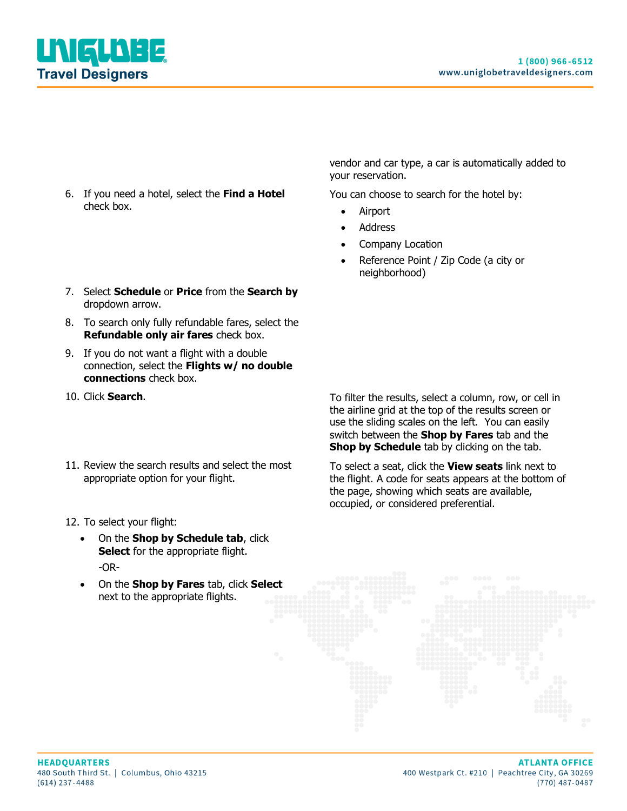

- 6. If you need a hotel, select the **Find a Hotel** check box.
- 7. Select **Schedule** or **Price** from the **Search by** dropdown arrow.
- 8. To search only fully refundable fares, select the **Refundable only air fares** check box.
- 9. If you do not want a flight with a double connection, select the **Flights w/ no double connections** check box.
- 
- 11. Review the search results and select the most appropriate option for your flight.
- 12. To select your flight:
	- On the **Shop by Schedule tab**, click **Select** for the appropriate flight. -OR-
	- On the **Shop by Fares** tab, click **Select** next to the appropriate flights.

vendor and car type, a car is automatically added to your reservation.

You can choose to search for the hotel by:

- Airport
- **Address**
- Company Location
- Reference Point / Zip Code (a city or neighborhood)

10. Click **Search**. To filter the results, select a column, row, or cell in the airline grid at the top of the results screen or use the sliding scales on the left. You can easily switch between the **Shop by Fares** tab and the **Shop by Schedule** tab by clicking on the tab.

> To select a seat, click the **View seats** link next to the flight. A code for seats appears at the bottom of the page, showing which seats are available, occupied, or considered preferential.

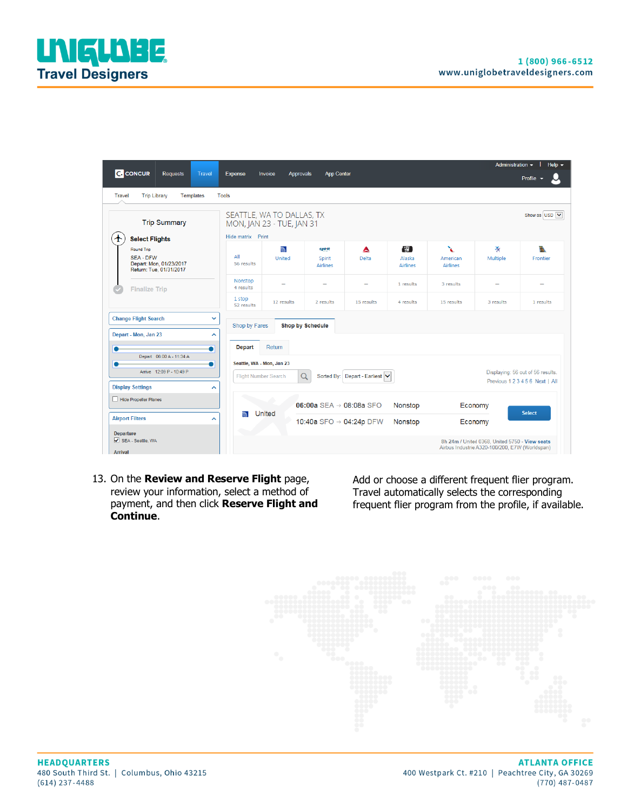|                                                                                    |                                                          |                                                        |                                     |                                |                                         |                                  | Administration -                                                                                 | Help $\sim$                                                          |
|------------------------------------------------------------------------------------|----------------------------------------------------------|--------------------------------------------------------|-------------------------------------|--------------------------------|-----------------------------------------|----------------------------------|--------------------------------------------------------------------------------------------------|----------------------------------------------------------------------|
| <b>C.</b> CONCUR<br><b>Requests</b><br><b>Travel</b>                               | <b>Expense</b>                                           | Invoice<br><b>Approvals</b>                            | <b>App Center</b>                   |                                |                                         |                                  |                                                                                                  | Profile                                                              |
| <b>Trip Library</b><br>Travel<br>Templates                                         | <b>Tools</b>                                             |                                                        |                                     |                                |                                         |                                  |                                                                                                  |                                                                      |
| <b>Trip Summary</b>                                                                |                                                          | SEATTLE, WA TO DALLAS, TX<br>MON, JAN 23 - TUE, JAN 31 |                                     |                                |                                         |                                  |                                                                                                  | Show as USD V                                                        |
| ተ<br><b>Select Flights</b>                                                         | Hide matrix Print                                        |                                                        |                                     |                                |                                         |                                  |                                                                                                  |                                                                      |
| Round Trip<br><b>SFA-DFW</b><br>Depart: Mon, 01/23/2017<br>Return: Tue, 01/31/2017 | All<br>56 results                                        | $\overline{\mathbb{R}}$<br><b>United</b>               | spirit<br>Spirit<br><b>Airlines</b> | ▴<br>Delta                     | $\sqrt{3}$<br>Alaska<br><b>Airlines</b> | X<br>American<br><b>Airlines</b> | 改<br>Multiple                                                                                    | th.<br>Frontier                                                      |
| <b>Finalize Trip</b>                                                               | Nonstop<br>4 results                                     | $\overline{\phantom{a}}$                               |                                     | $\overline{\phantom{a}}$       | 1 results                               | 3 results                        | -                                                                                                | -                                                                    |
|                                                                                    | 1 stop<br>52 results                                     | 12 results                                             | 2 results                           | 15 results                     | 4 results                               | 15 results                       | 3 results                                                                                        | 1 results                                                            |
| <b>Change Flight Search</b><br>v                                                   | Shop by Fares                                            |                                                        | <b>Shop by Schedule</b>             |                                |                                         |                                  |                                                                                                  |                                                                      |
| Depart - Mon, Jan 23<br>ㅅ                                                          |                                                          |                                                        |                                     |                                |                                         |                                  |                                                                                                  |                                                                      |
| ٠<br>●                                                                             | <b>Depart</b>                                            | Return                                                 |                                     |                                |                                         |                                  |                                                                                                  |                                                                      |
| Depart 06:00 A - 11:34 A                                                           |                                                          |                                                        |                                     |                                |                                         |                                  |                                                                                                  |                                                                      |
| Arrive 12:09 P - 10:49 P                                                           | Seattle, WA - Mon, Jan 23<br><b>Flight Number Search</b> |                                                        | Q                                   | Sorted By: Depart - Earliest V |                                         |                                  |                                                                                                  | Displaying: 56 out of 56 results.<br>Previous 1 2 3 4 5 6 Next   All |
| <b>Display Settings</b><br>$\hat{\phantom{a}}$                                     |                                                          |                                                        |                                     |                                |                                         |                                  |                                                                                                  |                                                                      |
| Hide Propeller Planes<br>06:00a SEA $\rightarrow$ 08:08a SFO<br>Nonstop<br>Economy |                                                          |                                                        |                                     |                                |                                         |                                  |                                                                                                  |                                                                      |
| <b>Airport Filters</b><br>ㅅ                                                        |                                                          | United                                                 | 10:40a SFO → 04:24p DFW             |                                | Nonstop                                 |                                  | Economy                                                                                          | <b>Select</b>                                                        |
| <b>Departure</b><br>SEA - Seattle, WA<br><b>Arrival</b>                            |                                                          |                                                        |                                     |                                |                                         |                                  | 8h 24m / United 0368, United 5750 - View seats<br>Airbus Industrie A320-100/200, E7W (Worldspan) |                                                                      |

13. On the **Review and Reserve Flight** page, review your information, select a method of payment, and then click **Reserve Flight and Continue**.

Add or choose a different frequent flier program. Travel automatically selects the corresponding frequent flier program from the profile, if available.

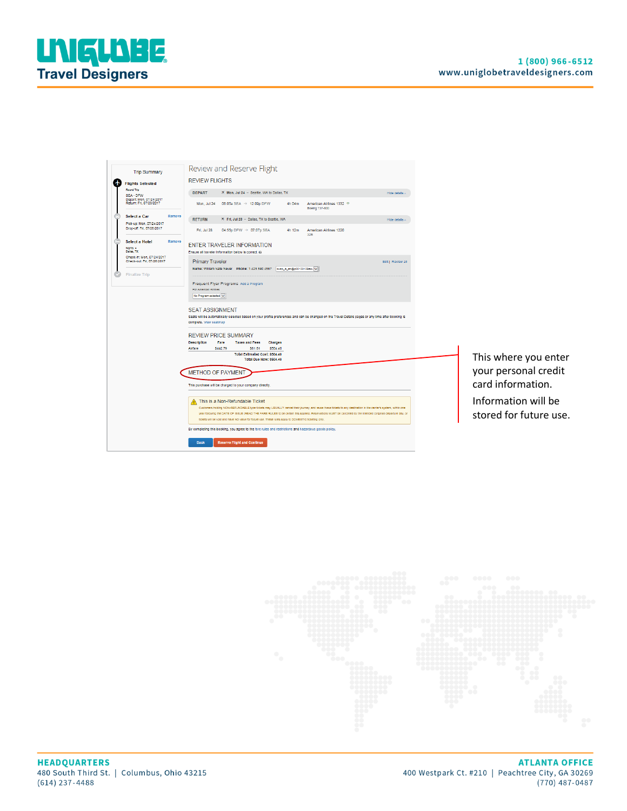

| <b>Trip Summary</b>                                        | Review and Reserve Flight                                                                                                                                                                                                                                                                                                                                                                                                                                                  |                                               |
|------------------------------------------------------------|----------------------------------------------------------------------------------------------------------------------------------------------------------------------------------------------------------------------------------------------------------------------------------------------------------------------------------------------------------------------------------------------------------------------------------------------------------------------------|-----------------------------------------------|
| <b>Flights Selected</b>                                    | <b>REVIEW FLIGHTS</b>                                                                                                                                                                                                                                                                                                                                                                                                                                                      |                                               |
| Round Trip<br>SEA - DFW                                    | <b>DEPART</b><br>X Mon, Jul 24 - Seattle, WA to Dallas, TX<br>Hide details                                                                                                                                                                                                                                                                                                                                                                                                 |                                               |
| Depart: Mon. 07/24/2017<br>Return: Frl. 07/28/2017         | 06:05a SEA $\rightarrow$ 12:09p DFW<br>4h 04m<br>American Airlines 1332<br>Mon, Jul 24<br>Boelng 737-800                                                                                                                                                                                                                                                                                                                                                                   |                                               |
| <b>Select a Car</b><br>Remove<br>Pick-up: Mon. 07/24/2017  | K Fri, Jul 28 - Dallas, TX to Seattle, WA<br><b>RETURN</b><br>Hide details                                                                                                                                                                                                                                                                                                                                                                                                 |                                               |
| Drop-off: Fri, 07/28/2017                                  | Fri, Jul 28<br>04:55p DFW $\rightarrow$ 07:07p SEA<br>4h 12m<br>American Airlines 1220<br>32B                                                                                                                                                                                                                                                                                                                                                                              |                                               |
| <b>Select a Hotel</b><br>Remove<br>Nights: 4<br>Dallas, TX | <b>ENTER TRAVELER INFORMATION</b><br>Ensure all traveler information below is correct.                                                                                                                                                                                                                                                                                                                                                                                     |                                               |
| Check-In: Mon, 07/24/2017<br>Check-out: Fri, 07/28/2017    | <b>Primary Traveler</b><br>Edit   Review all                                                                                                                                                                                                                                                                                                                                                                                                                               |                                               |
| <b>Finalize Trip</b>                                       | Name: William Nate Never Phone: 1 425 590 4567 suep_is_en@p00103105exu                                                                                                                                                                                                                                                                                                                                                                                                     |                                               |
|                                                            | Frequent Flyer Programs Add a Program<br>For American Airlines<br>No Program selected V                                                                                                                                                                                                                                                                                                                                                                                    |                                               |
|                                                            | <b>SEAT ASSIGNMENT</b><br>Seats will be automatically selected based on your profile preferences and can be changed on the Travel Details pages or any time after booking is<br>complete. View seatmap                                                                                                                                                                                                                                                                     |                                               |
|                                                            | <b>REVIEW PRICE SUMMARY</b><br><b>Description</b><br>Fare<br>Charges<br><b>Taxes and Fees</b>                                                                                                                                                                                                                                                                                                                                                                              |                                               |
|                                                            | Airtare<br>\$442.79<br>\$504.40<br>\$61.61<br><b>Total Estimated Cost: \$504.40</b>                                                                                                                                                                                                                                                                                                                                                                                        |                                               |
|                                                            | Total Due Now: \$504.40                                                                                                                                                                                                                                                                                                                                                                                                                                                    | This where you enter                          |
|                                                            | <b>METHOD OF PAYMENT</b>                                                                                                                                                                                                                                                                                                                                                                                                                                                   | your personal credit                          |
|                                                            | This purchase will be charged to your company directly.                                                                                                                                                                                                                                                                                                                                                                                                                    | card information.                             |
|                                                            | This is a Non-Refundable Ticket<br>Customers holding NON-REFUNDABLE type tickets may USUALLY cancel their journey, and reuse these tickets to any destination in the carrier's system, within one<br>year following the DATE OF ISSUE (READ THE FARE RULES to be certain this applies). Reservations MUST be cancelled by the intended (original) departure day, or<br>tickets will be vold and have NO value for future use. These rules apply to DOMESTIC ticketing only | Information will be<br>stored for future use. |
|                                                            | By completing this booking, you agree to the fare rules and restrictions and hazardous goods policy.                                                                                                                                                                                                                                                                                                                                                                       |                                               |
|                                                            | <b>Reserve Flight and Continue</b><br><b>Back</b>                                                                                                                                                                                                                                                                                                                                                                                                                          |                                               |

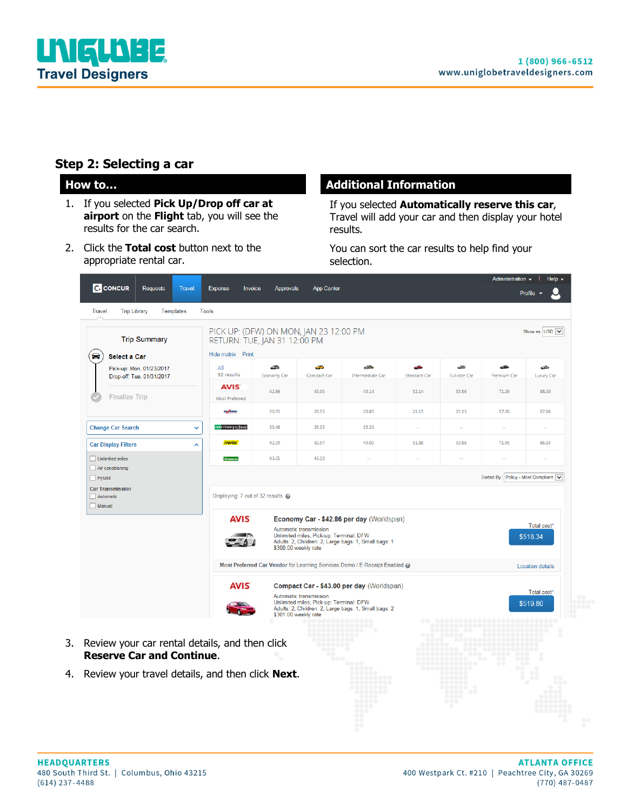

#### **Step 2: Selecting a car**

- 1. If you selected **Pick Up/Drop off car at airport** on the **Flight** tab, you will see the results for the car search.
- 2. Click the **Total cost** button next to the appropriate rental car.

#### **How to... Additional Information**

If you selected **Automatically reserve this car**, Travel will add your car and then display your hotel results.

You can sort the car results to help find your selection.

| <b>Trip Summary</b><br>◒                                                     | PICK UP: (DFW) ON MON, JAN 23 12:00 PM<br>RETURN: TUE, JAN 31 12:00 PM<br>Hide matrix Print |                         |                                                                                           |                                                                                                   |                          |                             |                           | Show as USD V           |
|------------------------------------------------------------------------------|---------------------------------------------------------------------------------------------|-------------------------|-------------------------------------------------------------------------------------------|---------------------------------------------------------------------------------------------------|--------------------------|-----------------------------|---------------------------|-------------------------|
| <b>Select a Car</b><br>Pick-up: Mon, 01/23/2017<br>Drop-off: Tue, 01/31/2017 | All<br>52 results                                                                           | æ<br><b>Economy Car</b> | نتف<br>Compact Car                                                                        | $-0 - 0$<br><b>Intermediate Car</b>                                                               | æ<br><b>Standard Car</b> | -33<br><b>Full-size Car</b> | <b>ARR</b><br>Premium Car | œ<br><b>Luxury Car</b>  |
| <b>Finalize Trip</b>                                                         | <b>AVIS</b><br><b>Most Preferred</b>                                                        | 42.86                   | 43.00                                                                                     | 45.14                                                                                             | 52.14                    | 53.86                       | 71.29                     | 88.00                   |
|                                                                              | يبيعون                                                                                      | 20.55                   | 20.55                                                                                     | 20.85                                                                                             | 21.15                    | 21.15                       | 57.00                     | 67.86                   |
| <b>Change Car Search</b>                                                     | v<br><b>e</b> nterprise                                                                     | 35.48                   | 35.33                                                                                     | 35.33                                                                                             |                          | ц.                          | ă.                        | ă.                      |
| <b>Car Display Filters</b>                                                   | <b>Hertz</b><br>∼                                                                           | 42.29                   | 42.57                                                                                     | 45.00                                                                                             | 51.86                    | 53.86                       | 71.95                     | 86.14                   |
| Unlimited miles                                                              | <b>Rivetional</b>                                                                           | 43.05                   | 43.19                                                                                     | $\sim$                                                                                            | $\sim$                   |                             | н.                        |                         |
|                                                                              | <b>AVIS</b>                                                                                 |                         | Automatic transmission<br>Unlimited miles, Pick-up: Terminal: DFW<br>\$300.00 weekly rate | Economy Car - \$42.86 per day (Worldspan)<br>Adults: 2, Children: 2, Large bags: 1, Small bags: 1 |                          |                             |                           | Total cost*<br>\$518.34 |
|                                                                              |                                                                                             |                         |                                                                                           | Most Preferred Car Vendor for Learning Services Demo / E-Receipt Enabled @                        |                          |                             |                           | <b>Location details</b> |
|                                                                              | <b>AVIS</b>                                                                                 |                         | Automatic transmission<br>Unlimited miles, Pick-up: Terminal: DFW<br>\$301.00 weekly rate | Compact Car - \$43.00 per day (Worldspan)<br>Adults: 2, Children: 2, Large bags: 1, Small bags: 2 |                          |                             |                           | Total cost*<br>\$519.80 |
|                                                                              | Review your car rental details, and then click                                              |                         |                                                                                           |                                                                                                   |                          |                             |                           |                         |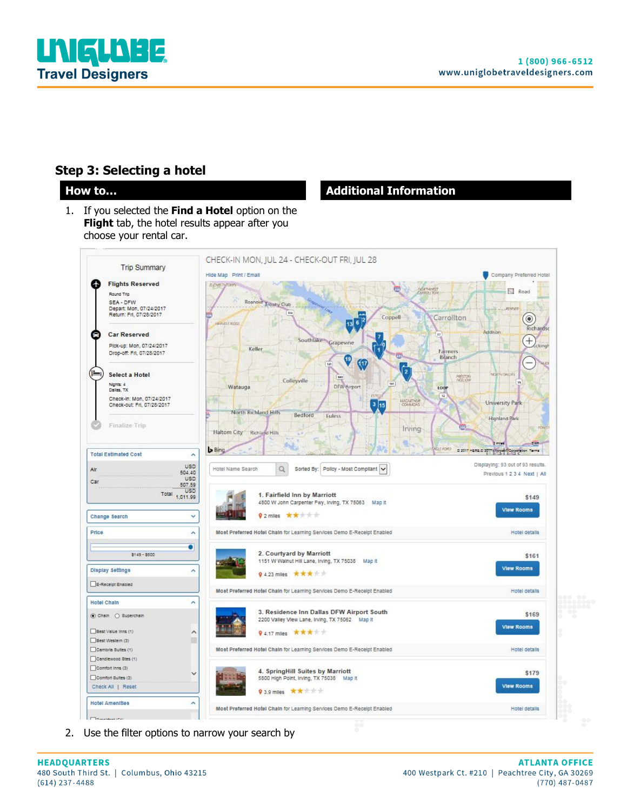

#### **Step 3: Selecting a hotel**

1. If you selected the **Find a Hotel** option on the **Flight** tab, the hotel results appear after you choose your rental car.

#### **How to... Additional Information**



2. Use the filter options to narrow your search by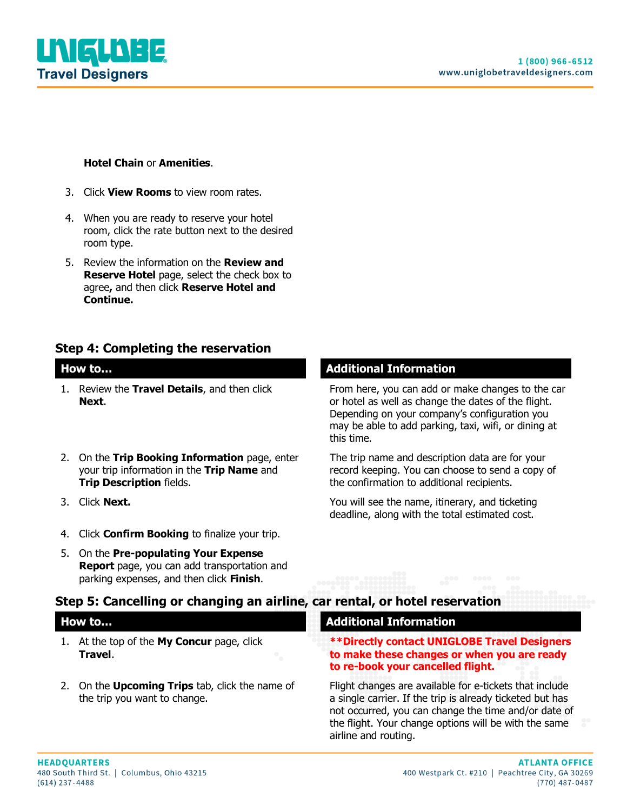

#### **Hotel Chain** or **Amenities**.

- 3. Click **View Rooms** to view room rates.
- 4. When you are ready to reserve your hotel room, click the rate button next to the desired room type.
- 5. Review the information on the **Review and Reserve Hotel** page, select the check box to agree**,** and then click **Reserve Hotel and Continue.**

#### **Step 4: Completing the reservation**

- 1. Review the **Travel Details**, and then click **Next**.
- 2. On the **Trip Booking Information** page, enter your trip information in the **Trip Name** and **Trip Description** fields.
- 
- 4. Click **Confirm Booking** to finalize your trip.
- 5. On the **Pre-populating Your Expense Report** page, you can add transportation and parking expenses, and then click **Finish**.

#### **How to… Additional Information**

From here, you can add or make changes to the car or hotel as well as change the dates of the flight. Depending on your company's configuration you may be able to add parking, taxi, wifi, or dining at this time.

The trip name and description data are for your record keeping. You can choose to send a copy of the confirmation to additional recipients.

3. Click **Next.** You will see the name, itinerary, and ticketing deadline, along with the total estimated cost.

#### **Step 5: Cancelling or changing an airline, car rental, or hotel reservation**

| How to |                                                                                        | <b>Additional Information</b>                                                                                                                                                                                                         |  |  |
|--------|----------------------------------------------------------------------------------------|---------------------------------------------------------------------------------------------------------------------------------------------------------------------------------------------------------------------------------------|--|--|
|        | At the top of the My Concur page, click<br>Travel.                                     | <b>**Directly contact UNIGLOBE Travel Designers</b><br>to make these changes or when you are ready<br>to re-book your cancelled flight.                                                                                               |  |  |
|        | 2. On the <b>Upcoming Trips</b> tab, click the name of<br>the trip you want to change. | Flight changes are available for e-tickets that include<br>a single carrier. If the trip is already ticketed but has<br>not occurred, you can change the time and/or date of<br>the flight. Your change options will be with the same |  |  |

airline and routing.